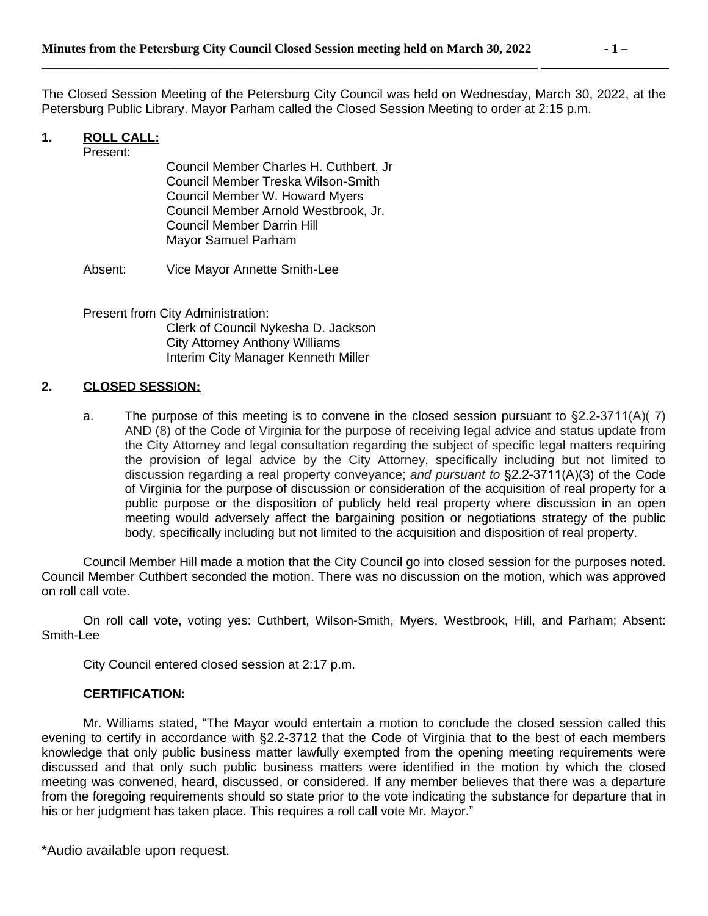**\_\_\_\_\_\_\_\_\_\_\_\_\_\_\_\_\_\_\_\_\_\_\_\_\_\_\_\_\_\_\_\_\_\_\_\_\_\_\_\_\_\_\_\_\_\_\_\_\_\_\_\_\_\_\_\_\_\_\_\_\_\_\_\_\_\_\_\_\_\_\_\_\_\_\_\_\_\_** 

The Closed Session Meeting of the Petersburg City Council was held on Wednesday, March 30, 2022, at the Petersburg Public Library. Mayor Parham called the Closed Session Meeting to order at 2:15 p.m.

# **1. ROLL CALL:**

Present:

Council Member Charles H. Cuthbert, Jr Council Member Treska Wilson-Smith Council Member W. Howard Myers Council Member Arnold Westbrook, Jr. Council Member Darrin Hill Mayor Samuel Parham

Absent: Vice Mayor Annette Smith-Lee

Present from City Administration: Clerk of Council Nykesha D. Jackson City Attorney Anthony Williams Interim City Manager Kenneth Miller

## **2. CLOSED SESSION:**

a. The purpose of this meeting is to convene in the closed session pursuant to §2.2-3711(A)( 7) AND (8) of the Code of Virginia for the purpose of receiving legal advice and status update from the City Attorney and legal consultation regarding the subject of specific legal matters requiring the provision of legal advice by the City Attorney, specifically including but not limited to discussion regarding a real property conveyance; *and pursuant to* §2.2-3711(A)(3) of the Code of Virginia for the purpose of discussion or consideration of the acquisition of real property for a public purpose or the disposition of publicly held real property where discussion in an open meeting would adversely affect the bargaining position or negotiations strategy of the public body, specifically including but not limited to the acquisition and disposition of real property.

Council Member Hill made a motion that the City Council go into closed session for the purposes noted. Council Member Cuthbert seconded the motion. There was no discussion on the motion, which was approved on roll call vote.

On roll call vote, voting yes: Cuthbert, Wilson-Smith, Myers, Westbrook, Hill, and Parham; Absent: Smith-Lee

City Council entered closed session at 2:17 p.m.

#### **CERTIFICATION:**

Mr. Williams stated, "The Mayor would entertain a motion to conclude the closed session called this evening to certify in accordance with §2.2-3712 that the Code of Virginia that to the best of each members knowledge that only public business matter lawfully exempted from the opening meeting requirements were discussed and that only such public business matters were identified in the motion by which the closed meeting was convened, heard, discussed, or considered. If any member believes that there was a departure from the foregoing requirements should so state prior to the vote indicating the substance for departure that in his or her judgment has taken place. This requires a roll call vote Mr. Mayor."

\*Audio available upon request.